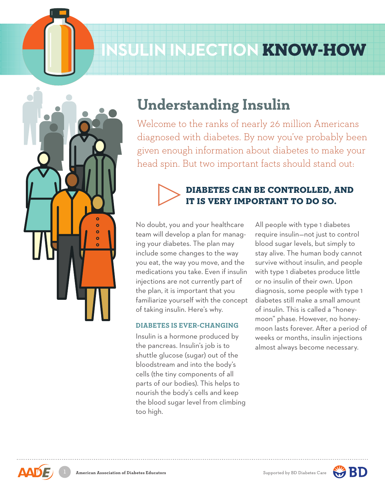# **INSULIN INJECTION** KNOW-HOW



## **Understanding Insulin**

Welcome to the ranks of nearly 26 million Americans diagnosed with diabetes. By now you've probably been given enough information about diabetes to make your head spin. But two important facts should stand out:



## DIABETES CAN BE CONTROLLED, AND IT IS VERY IMPORTANT TO DO SO.

No doubt, you and your healthcare team will develop a plan for managing your diabetes. The plan may include some changes to the way you eat, the way you move, and the medications you take. Even if insulin injections are not currently part of the plan, it is important that you familiarize yourself with the concept of taking insulin. Here's why.

#### **DIABETES IS EVER-CHANGING**

 *1- 0-* the pancreas. Insulin's job is to Insulin is a hormone produced by shuttle glucose (sugar) out of the bloodstream and into the body's cells (the tiny components of all parts of our bodies). This helps to nourish the body's cells and keep the blood sugar level from climbing too high.

moon lasts forever. After a period of All people with type 1 diabetes require insulin—not just to control blood sugar levels, but simply to stay alive. The human body cannot survive without insulin, and people with type 1 diabetes produce little or no insulin of their own. Upon diagnosis, some people with type 1 diabetes still make a small amount of insulin. This is called a "honeymoon" phase. However, no honeyweeks or months, insulin injections almost always become necessary.



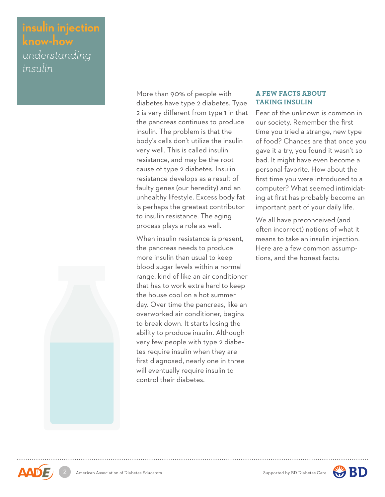### **insulin injection know-how** *understanding insulin*



More than 90% of people with diabetes have type 2 diabetes. Type 2 is very different from type 1 in that the pancreas continues to produce insulin. The problem is that the body's cells don't utilize the insulin very well. This is called insulin resistance, and may be the root cause of type 2 diabetes. Insulin resistance develops as a result of faulty genes (our heredity) and an unhealthy lifestyle. Excess body fat is perhaps the greatest contributor to insulin resistance. The aging process plays a role as well.

When insulin resistance is present, the pancreas needs to produce more insulin than usual to keep blood sugar levels within a normal range, kind of like an air conditioner that has to work extra hard to keep the house cool on a hot summer day. Over time the pancreas, like an overworked air conditioner, begins to break down. It starts losing the ability to produce insulin. Although very few people with type 2 diabetes require insulin when they are first diagnosed, nearly one in three will eventually require insulin to control their diabetes.

#### **A FEW FACTS ABOUT TAKING INSULIN**

Fear of the unknown is common in our society. Remember the first time you tried a strange, new type of food? Chances are that once you gave it a try, you found it wasn't so bad. It might have even become a personal favorite. How about the first time you were introduced to a computer? What seemed intimidating at first has probably become an important part of your daily life.

We all have preconceived (and often incorrect) notions of what it means to take an insulin injection. Here are a few common assumptions, and the honest facts: